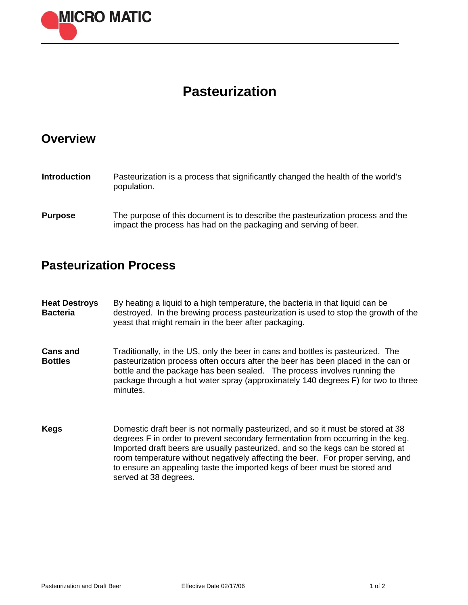

## **Pasteurization**

## **Overview**

| <b>Introduction</b> | Pasteurization is a process that significantly changed the health of the world's<br>population.                                                    |
|---------------------|----------------------------------------------------------------------------------------------------------------------------------------------------|
| <b>Purpose</b>      | The purpose of this document is to describe the pasteurization process and the<br>impact the process has had on the packaging and serving of beer. |

## **Pasteurization Process**

**Heat Destroys Bacteria**  By heating a liquid to a high temperature, the bacteria in that liquid can be destroyed. In the brewing process pasteurization is used to stop the growth of the yeast that might remain in the beer after packaging.

- **Cans and Bottles**  Traditionally, in the US, only the beer in cans and bottles is pasteurized. The pasteurization process often occurs after the beer has been placed in the can or bottle and the package has been sealed. The process involves running the package through a hot water spray (approximately 140 degrees F) for two to three minutes.
- **Kegs** Domestic draft beer is not normally pasteurized, and so it must be stored at 38 degrees F in order to prevent secondary fermentation from occurring in the keg. Imported draft beers are usually pasteurized, and so the kegs can be stored at room temperature without negatively affecting the beer. For proper serving, and to ensure an appealing taste the imported kegs of beer must be stored and served at 38 degrees.